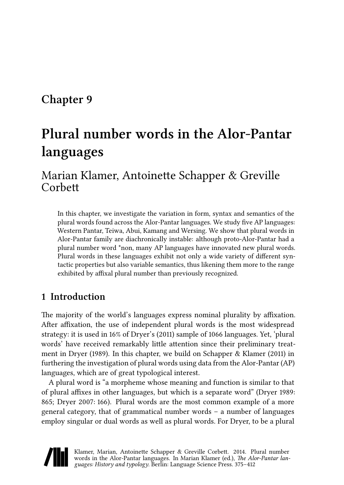# **Chapter 9**

# **Plural number words in the Alor-Pantar languages**

# Marian Klamer, Antoinette Schapper & Greville **Corbett**

In this chapter, we investigate the variation in form, syntax and semantics of the plural words found across the Alor-Pantar languages. We study five AP languages: Western Pantar, Teiwa, Abui, Kamang and Wersing. We show that plural words in Alor-Pantar family are diachronically instable: although proto-Alor-Pantar had a plural number word \*non, many AP languages have innovated new plural words. Plural words in these languages exhibit not only a wide variety of different syntactic properties but also variable semantics, thus likening them more to the range exhibited by affixal plural number than previously recognized.

# <span id="page-0-0"></span>**1 Introduction**

The majority of the world's languages express nominal plurality by affixation. After affixation, the use of independent plural words is the most widespread strategy: it is used in 16% of Dryer's (2011) sample of 1066 languages. Yet, 'plural words' have received remarkably little attention since their preliminary treatment in [Dryer \(1989\)](#page-35-0). In this chapter, we build on [Schapper & Klamer \(2011\)](#page-37-0) in furthering the investigation of plural words using data from the Alor-Pantar (AP) languages, which are of great typological interest.

A plural word is "a morpheme whose meaning and function is similar to that of plural affixes in other languages, but which is a separate word" [\(Dryer 1989](#page-35-0): 865; [Dryer 2007:](#page-36-0) 166). Plural words are the most common example of a more general category, that of grammatical number words – a number of languages employ singular or dual words as well as plural words. For Dryer, to be a plural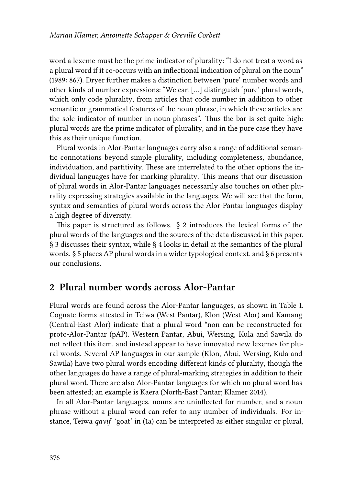word a lexeme must be the prime indicator of plurality: "I do not treat a word as a plural word if it co-occurs with an inflectional indication of plural on the noun" (1989: 867). Dryer further makes a distinction between 'pure' number words and other kinds of number expressions: "We can […] distinguish 'pure' plural words, which only code plurality, from articles that code number in addition to other semantic or grammatical features of the noun phrase, in which these articles are the sole indicator of number in noun phrases". Thus the bar is set quite high: plural words are the prime indicator of plurality, and in the pure case they have this as their unique function.

Plural words in Alor-Pantar languages carry also a range of additional semantic connotations beyond simple plurality, including completeness, abundance, individuation, and partitivity. These are interrelated to the other options the individual languages have for marking plurality. This means that our discussion of plural words in Alor-Pantar languages necessarily also touches on other plurality expressing strategies available in the languages. We will see that the form, syntax and semantics of plural words across the Alor-Pantar languages display a high degree of diversity.

This paper is structured as follows. § [2](#page-1-0) introduces the lexical forms of the plural words of the languages and the sources of the data discussed in this paper. § [3](#page-5-0) discusses their syntax, while § [4](#page-23-0) looks in detail at the semantics of the plural words. § [5](#page-32-0) places AP plural words in a wider typological context, and § [6](#page-34-0) presents our conclusions.

#### <span id="page-1-0"></span>**2 Plural number words across Alor-Pantar**

Plural words are found across the Alor-Pantar languages, as shown in Table [1](#page-2-0). Cognate forms attested in Teiwa (West Pantar), Klon (West Alor) and Kamang (Central-East Alor) indicate that a plural word \*non can be reconstructed for proto-Alor-Pantar (pAP). Western Pantar, Abui, Wersing, Kula and Sawila do not reflect this item, and instead appear to have innovated new lexemes for plural words. Several AP languages in our sample (Klon, Abui, Wersing, Kula and Sawila) have two plural words encoding different kinds of plurality, though the other languages do have a range of plural-marking strategies in addition to their plural word. There are also Alor-Pantar languages for which no plural word has been attested; an example is Kaera (North-East Pantar; [Klamer 2014\)](#page-36-1).

In all Alor-Pantar languages, nouns are uninflected for number, and a noun phrase without a plural word can refer to any number of individuals. For instance, Teiwa *qavif* 'goat' in [\(1](#page-2-1)a) can be interpreted as either singular or plural,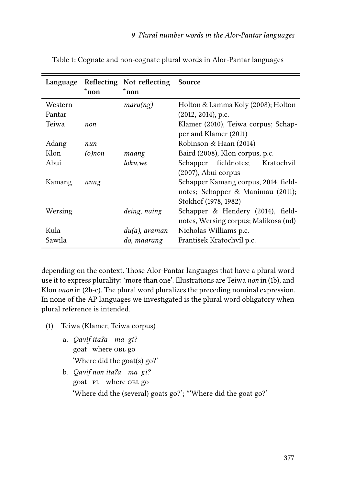| Language | Reflecting | Not reflecting   | Source                               |
|----------|------------|------------------|--------------------------------------|
|          | *non       | *non             |                                      |
| Western  |            | maru(ng)         | Holton & Lamma Koly (2008); Holton   |
| Pantar   |            |                  | $(2012, 2014)$ , p.c.                |
| Teiwa    | non        |                  | Klamer (2010), Teiwa corpus; Schap-  |
|          |            |                  | per and Klamer (2011)                |
| Adang    | nun        |                  | Robinson & Haan (2014)               |
| Klon     | $(o)$ non  | maang            | Baird (2008), Klon corpus, p.c.      |
| Abui     |            | loku,we          | Schapper fieldnotes;<br>Kratochvíl   |
|          |            |                  | $(2007)$ , Abui corpus               |
| Kamang   | nung       |                  | Schapper Kamang corpus, 2014, field- |
|          |            |                  | notes; Schapper & Manimau (2011);    |
|          |            |                  | Stokhof (1978, 1982)                 |
| Wersing  |            | deing, naing     | Schapper & Hendery (2014), field-    |
|          |            |                  | notes, Wersing corpus; Malikosa (nd) |
| Kula     |            | $du(a)$ , araman | Nicholas Williams p.c.               |
| Sawila   |            | do, maarang      | František Kratochvíl p.c.            |

<span id="page-2-0"></span>Table 1: Cognate and non-cognate plural words in Alor-Pantar languages

depending on the context. Those Alor-Pantar languages that have a plural word use it to express plurality: 'more than one'. Illustrations are Teiwa *non* in([1b](#page-2-1)), and Klon *onon* in([2](#page-3-0)b-c). The plural word pluralizes the preceding nominal expression. In none of the AP languages we investigated is the plural word obligatory when plural reference is intended.

- <span id="page-2-1"></span>(1) Teiwa (Klamer, Teiwa corpus)
	- a. *Qavif itaʔa ma gi?* goat where OBL go 'Where did the goat(s) go?'
	- b. *Qavif non itaʔa ma gi?* goat PL where OBL go 'Where did the (several) goats go?'; \*'Where did the goat go?'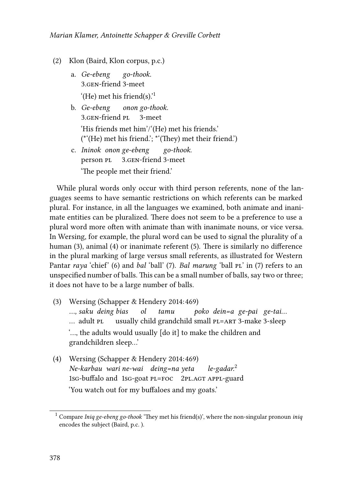- <span id="page-3-0"></span>(2) Klon (Baird, Klon corpus, p.c.)
	- a. *Ge-ebeng* 3.gen-friend 3-meet *go-thook.*  $(He)$  met his friend(s).<sup>1</sup>
	- b. *Ge-ebeng* 3.gen-friend pl *onon go-thook.* 3-meet 'His friends met him'/'(He) met his friends.' (\*'(He) met his friend.'; \*'(They) met their friend.') c. *Ininok onon ge-ebeng go-thook.*
	- person <mark>PL</mark> 3.gen-friend 3-meet 'The people met their friend.'

While plural words only occur with third person referents, none of the languages seems to have semantic restrictions on which referents can be marked plural. For instance, in all the languages we examined, both animate and inanimate entities can be pluralized. There does not seem to be a preference to use a plural word more often with animate than with inanimate nouns, or vice versa. In Wersing, for example, the plural word can be used to signal the plurality of a human([3\)](#page-3-1), animal [\(4\)](#page-3-2) or inanimate referent([5\)](#page-4-0). There is similarly no difference in the plural marking of large versus small referents, as illustrated for Western Pantar *raya* 'chief'([6\)](#page-4-1) and *bal* 'ball' [\(7](#page-4-2)). *Bal marung* 'ball pl' in([7\)](#page-4-2) refers to an unspecified number of balls. This can be a small number of balls, say two or three; it does not have to be a large number of balls.

- <span id="page-3-1"></span>(3) Wersing [\(Schapper & Hendery 2014](#page-37-4):469) *…, saku deing bias* … adult pl usually child grandchild small PL=ART 3-make 3-sleep *ol tamu poko dein=a ge-pai ge-tai…* '…, the adults would usually [do it] to make the children and grandchildren sleep…'
- <span id="page-3-2"></span>(4) Wersing [\(Schapper & Hendery 2014](#page-37-4):469) *Ne-karbau wari ne-wai deing=na yeta* 1sg-buffalo and 1sg-goat PL=FOC 2PL.AGT APPL-guard *le-gadar.*<sup>2</sup> 'You watch out for my buffaloes and my goats.'

<sup>1</sup> Compare *Iniq ge-ebeng go-thook* 'They met his friend(s)', where the non-singular pronoun *iniq* encodes the subject (Baird, p.c. ).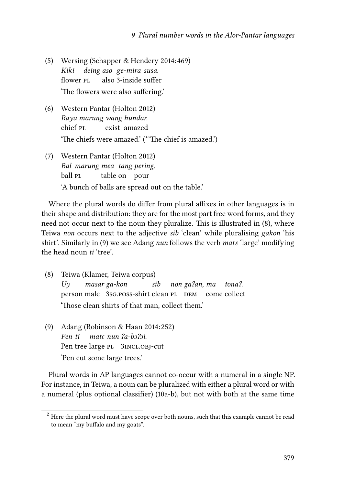- <span id="page-4-0"></span>(5) Wersing([Schapper & Hendery 2014:](#page-37-4)469) *Kiki deing aso ge-mira susa.* flower pl also 3-inside suffer 'The flowers were also suffering.'
- <span id="page-4-1"></span>(6) Western Pantar([Holton 2012](#page-36-3)) *Raya marung wang hundar.* chief pl exist amazed 'The chiefs were amazed.' (\*'The chief is amazed.')
- <span id="page-4-2"></span>(7) Western Pantar([Holton 2012](#page-36-3)) *Bal marung mea tang pering.* ball pl table on pour 'A bunch of balls are spread out on the table.'

Where the plural words do differ from plural affixes in other languages is in their shape and distribution: they are for the most part free word forms, and they need not occur next to the noun they pluralize. This is illustrated in([8\)](#page-4-3), where Teiwa *non* occurs next to the adjective *sib* 'clean' while pluralising *gakon* 'his shirt'. Similarly in [\(9\)](#page-4-4) we see Adang *nun* follows the verb *matε* 'large' modifying the head noun *ti* 'tree'.

- <span id="page-4-3"></span>(8) Teiwa (Klamer, Teiwa corpus) *Uy* person male 3sG.poss-shirt clean PL DEM come collect *masar ga-kon sib non gaʔan, ma tonaʔ.* 'Those clean shirts of that man, collect them.'
- <span id="page-4-4"></span>(9) Adang([Robinson & Haan 2014](#page-36-7):252) *Pen ti* Pen tree large PL 3INCL.OBJ-cut *matε nun ʔa-bɔʔɔi.* 'Pen cut some large trees.'

Plural words in AP languages cannot co-occur with a numeral in a single NP. For instance, in Teiwa, a noun can be pluralized with either a plural word or with a numeral (plus optional classifier) [\(10](#page-5-1)a-b), but not with both at the same time

 $2$  Here the plural word must have scope over both nouns, such that this example cannot be read to mean "my buffalo and my goats".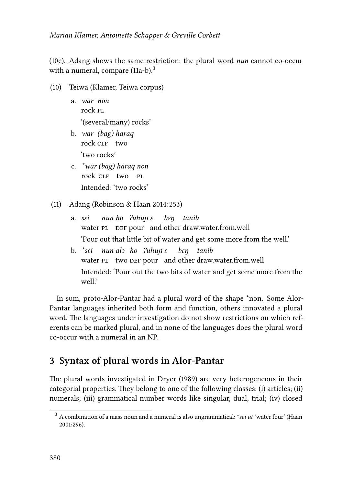[\(10c](#page-5-1)). Adang shows the same restriction; the plural word *nun* cannot co-occur with a numeral, compare  $(11a-b)^3$ 

- <span id="page-5-1"></span>(10) Teiwa (Klamer, Teiwa corpus)
	- a. *war non* rock pl '(several/many) rocks'
	- b. *war (bag) haraq* rock clf two 'two rocks'
	- c. *\*war (bag) haraq non* rock CLF two PL Intended: 'two rocks'

<span id="page-5-2"></span>(11) Adang [\(Robinson & Haan 2014:](#page-36-7)253)

- a. *sεi* water PL DEF pour and other draw.water.from.well *nun ho ʔuhuɲ ε bεŋ tanib* 'Pour out that little bit of water and get some more from the well.'
- b. *\*sεi nun alɔ ho ʔuhuɲ ε* water PL two DEF pour and other draw.water.from.well *bεŋ tanib* Intended: 'Pour out the two bits of water and get some more from the well.'

In sum, proto-Alor-Pantar had a plural word of the shape \*non. Some Alor-Pantar languages inherited both form and function, others innovated a plural word. The languages under investigation do not show restrictions on which referents can be marked plural, and in none of the languages does the plural word co-occur with a numeral in an NP.

# <span id="page-5-0"></span>**3 Syntax of plural words in Alor-Pantar**

The plural words investigated in [Dryer \(1989\)](#page-35-0) are very heterogeneous in their categorial properties. They belong to one of the following classes: (i) articles; (ii) numerals; (iii) grammatical number words like singular, dual, trial; (iv) closed

<sup>3</sup> A combination of a mass noun and a numeral is also ungrammatical: \**sεi ut* 'water four' [\(Haan](#page-36-11) [2001](#page-36-11):296).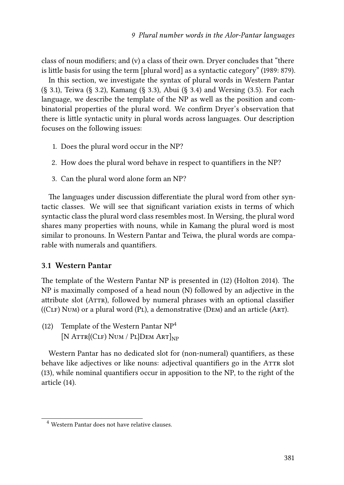class of noun modifiers; and (v) a class of their own. Dryer concludes that "there is little basis for using the term [plural word] as a syntactic category" (1989: 879).

In this section, we investigate the syntax of plural words in Western Pantar (§ [3.1](#page-6-0)), Teiwa (§ [3.2\)](#page-8-0), Kamang (§ [3.3\)](#page-12-0), Abui (§ [3.4](#page-16-0)) and Wersing (3.5). For each language, we describe the template of the NP as well as the position and combinatorial properties of the plural word. We confirm Dryer's observation that there is little syntactic unity in plural words across languages. Our description focuses on the following issues:

- 1. Does the plural word occur in the NP?
- 2. How does the plural word behave in respect to quantifiers in the NP?
- 3. Can the plural word alone form an NP?

The languages under discussion differentiate the plural word from other syntactic classes. We will see that significant variation exists in terms of which syntactic class the plural word class resembles most. In Wersing, the plural word shares many properties with nouns, while in Kamang the plural word is most similar to pronouns. In Western Pantar and Teiwa, the plural words are comparable with numerals and quantifiers.

#### <span id="page-6-0"></span>**3.1 Western Pantar**

The template of the Western Pantar NP is presented in([12\)](#page-6-1)([Holton 2014\)](#page-36-4). The NP is maximally composed of a head noun (N) followed by an adjective in the attribute slot (ATTR), followed by numeral phrases with an optional classifier  $((C<sub>LF</sub>)$  Num) or a plural word (P<sub>L</sub>), a demonstrative (D<sub>EM</sub>) and an article (ART).

<span id="page-6-1"></span>(12) Template of the Western Pantar  $NP<sup>4</sup>$  $[N \, \text{ATTR}\{(\text{CLF}) \, \text{Num} / \, \text{PL}\} \text{DEM} \, \text{ART}\}_{NP}$ 

Western Pantar has no dedicated slot for (non-numeral) quantifiers, as these behave like adjectives or like nouns: adjectival quantifiers go in the ATTR slot [\(13](#page-6-2)), while nominal quantifiers occur in apposition to the NP, to the right of the article([14](#page-7-0)).

<span id="page-6-2"></span><sup>4</sup> Western Pantar does not have relative clauses.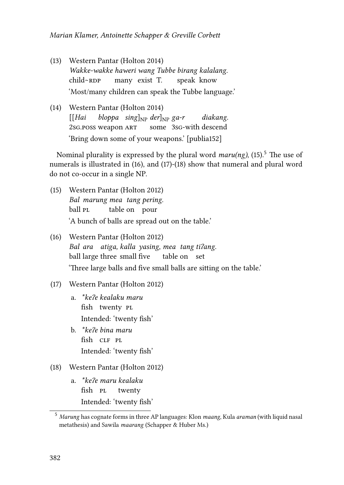- (13) Western Pantar [\(Holton 2014\)](#page-36-4) *Wakke-wakke haweri wang Tubbe birang kalalang.* child∼RDP many exist T. speak know 'Most/many children can speak the Tubbe language.'
- <span id="page-7-0"></span>(14) Western Pantar [\(Holton 2014\)](#page-36-4) [[*Hai* 2sG.POSS weapon ART *bloppa* sing]<sub>NP</sub> der]<sub>NP</sub> ga-r some 3sg-with descend *diakang.* 'Bring down some of your weapons.' [publia152]

Nominal plurality is expressed by the plural word  $maru(ng)$ , [\(15](#page-7-1)).<sup>5</sup> The use of numerals is illustrated in [\(16](#page-7-2)), and [\(17\)](#page-7-3)-([18\)](#page-7-4) show that numeral and plural word do not co-occur in a single NP.

- <span id="page-7-1"></span>(15) Western Pantar [\(Holton 2012\)](#page-36-3) *Bal marung mea tang pering.* ball pl table on pour 'A bunch of balls are spread out on the table.'
- <span id="page-7-2"></span>(16) Western Pantar [\(Holton 2012\)](#page-36-3) *Bal ara atiga, kalla yasing, mea tang tiʔang.* ball large three small five table on set 'Three large balls and five small balls are sitting on the table.'
- <span id="page-7-3"></span>(17) Western Pantar [\(Holton 2012\)](#page-36-3)
	- a. *\*keʔe kealaku maru* fish twenty pl Intended: 'twenty fish'
	- b. *\*keʔe bina maru* fish CLF PL Intended: 'twenty fish'
- <span id="page-7-4"></span>(18) Western Pantar [\(Holton 2012\)](#page-36-3)
	- a. *\*keʔe maru kealaku* fish pl twenty Intended: 'twenty fish'

<sup>5</sup> *Marung* has cognate forms in three AP languages: Klon *maang*, Kula *araman* (with liquid nasal metathesis) and Sawila *maarang* [\(Schapper & Huber Ms.](#page-37-5))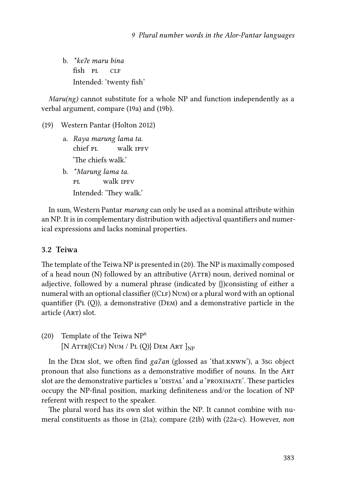b. *\*keʔe maru bina* fish pl  $CLF$ Intended: 'twenty fish'

*Maru(ng)* cannot substitute for a whole NP and function independently as a verbal argument, compare([19a](#page-8-1)) and [\(19](#page-8-1)b).

- <span id="page-8-1"></span>(19) Western Pantar([Holton 2012](#page-36-3))
	- a. *Raya marung lama ta.* chief pl walk ipfv 'The chiefs walk.'
	- b. *\*Marung lama ta.* pl walk ipfv Intended: 'They walk.'

In sum, Western Pantar *marung* can only be used as a nominal attribute within an NP. It is in complementary distribution with adjectival quantifiers and numerical expressions and lacks nominal properties.

#### <span id="page-8-0"></span>**3.2 Teiwa**

The template of the Teiwa NP is presented in [\(20\)](#page-8-2). The NP is maximally composed of a head noun (N) followed by an attributive (ATTR) noun, derived nominal or adjective, followed by a numeral phrase (indicated by  $\{\}$ )consisting of either a numeral with an optional classifier  $((C_{LF})$  Num) or a plural word with an optional quantifier (PL  $(Q)$ ), a demonstrative (DEM) and a demonstrative particle in the article (Art) slot.

<span id="page-8-2"></span>(20) Template of the Teiwa  $NP<sup>6</sup>$  $[N \text{ A} \text{tr}((C \text{L} \text{F}) \text{Num} / \text{PL} (Q)]$  Dem Art  $]_{NP}$ 

In the Dem slot, we often find *gaʔan* (glossed as 'that.knwn'), a 3sg object pronoun that also functions as a demonstrative modifier of nouns. In the ART slot are the demonstrative particles *u* 'DISTAL' and *a* 'PROXIMATE'. These particles occupy the NP-final position, marking definiteness and/or the location of NP referent with respect to the speaker.

The plural word has its own slot within the NP. It cannot combine with numeral constituents as those in([21](#page-9-0)a); compare [\(21b](#page-9-0)) with([22a](#page-9-1)-c). However, *non*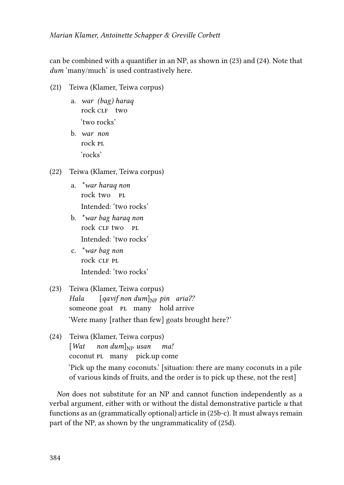can be combined with a quantifier in an NP, as shown in([23](#page-9-2)) and [\(24\)](#page-9-3). Note that *dum* 'many/much' is used contrastively here.

- <span id="page-9-0"></span>(21) Teiwa (Klamer, Teiwa corpus)
	- a. *war (bag) haraq* rock clf two 'two rocks'
	- b. *war non* rock pl 'rocks'
- <span id="page-9-1"></span>(22) Teiwa (Klamer, Teiwa corpus)
	- a. *\*war haraq non* rock two PL Intended: 'two rocks'
	- b. *\*war bag haraq non* rock CLF two PL Intended: 'two rocks'
	- c. *\*war bag non* rock clf pl Intended: 'two rocks'
- <span id="page-9-2"></span>(23) Teiwa (Klamer, Teiwa corpus) *Hala* someone goat PL many hold arrive [*qavif* non dum]<sub>NP</sub> pin aria?? 'Were many [rather than few] goats brought here?'
- <span id="page-9-3"></span>(24) Teiwa (Klamer, Teiwa corpus) [*Wat* coconut PL many pick.up come  $[non\; dum]_{\rm NP}$  usan *ma!*

'Pick up the many coconuts.' [situation: there are many coconuts in a pile of various kinds of fruits, and the order is to pick up these, not the rest]

*Non* does not substitute for an NP and cannot function independently as a verbal argument, either with or without the distal demonstrative particle *u* that functions as an (grammatically optional) article in [\(25](#page-10-0)b-c). It must always remain part of the NP, as shown by the ungrammaticality of [\(25d](#page-10-0)).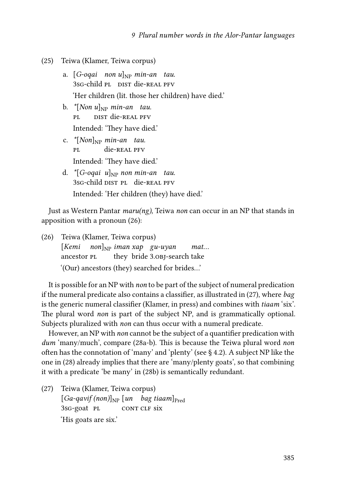- <span id="page-10-0"></span>(25) Teiwa (Klamer, Teiwa corpus)
	- a. [*G-oqai non* u]<sub>NP</sub> min-an tau. 3sg-child pl dist die-real pfv 'Her children (lit. those her children) have died.'
	- b. *\**[Non u]<sub>NP</sub> min-an tau.  $PI.$ dist die-real pfv Intended: 'They have died.'
	- c.  $*(Non]_{NP}$  *min-an tau.*  $PI.$ die-real pfv Intended: 'They have died.'
	- d. *\**[G-oqai u]<sub>NP</sub> non min-an tau. 3sg-child DIST PL) die-REAL PFV Intended: 'Her children (they) have died.'

Just as Western Pantar *maru(ng)*, Teiwa *non* can occur in an NP that stands in apposition with a pronoun([26](#page-10-1)):

<span id="page-10-1"></span>(26) Teiwa (Klamer, Teiwa corpus) [*Kemi* ancestor pl  $[non]_{\rm NP}$  iman xap gu-uyan they bride 3.obj-search take *mat…* '(Our) ancestors (they) searched for brides…'

It is possible for an NP with *non* to be part of the subject of numeral predication if the numeral predicate also contains a classifier, as illustrated in([27\)](#page-10-2), where *bag* is the generic numeral classifier (Klamer, in press) and combines with *tiaam* 'six'. The plural word *non* is part of the subject NP, and is grammatically optional. Subjects pluralized with *non* can thus occur with a numeral predicate.

However, an NP with *non* cannot be the subject of a quantifier predication with *dum* 'many/much', compare([28](#page-11-0)a-b). This is because the Teiwa plural word *non* often has the connotation of 'many' and 'plenty' (see § [4.2](#page-25-0)). A subject NP like the one in [\(28\)](#page-11-0) already implies that there are 'many/plenty goats', so that combining it with a predicate 'be many' in [\(28b](#page-11-0)) is semantically redundant.

<span id="page-10-2"></span>(27) Teiwa (Klamer, Teiwa corpus)  $[Ga$ -qavif  $(non)]_{\text{NP}}$   $[un$  *bag tiaam*]<sub>Pred</sub> 3sg-goat pl cont clf six 'His goats are six.'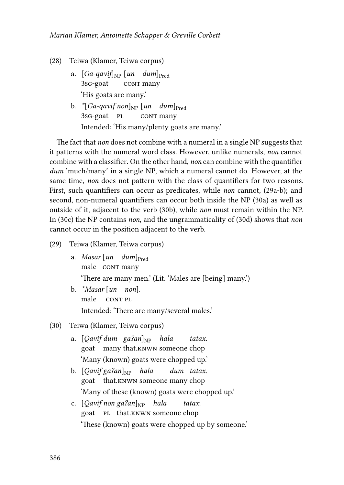- <span id="page-11-0"></span>(28) Teiwa (Klamer, Teiwa corpus)
	- a. [*Ga-qavif*]<sub>NP</sub> [ $un$  dum] $_{\mathrm{Pred}}$ 3sg-goat cont many 'His goats are many.'
	- b. *\**[Ga-qavif non]<sub>NP</sub> [un dum]<sub>Pred</sub> 3sg-goat pl cont many Intended: 'His many/plenty goats are many.'

The fact that *non* does not combine with a numeral in a single NP suggests that it patterns with the numeral word class. However, unlike numerals, *non* cannot combine with a classifier. On the other hand, *non* can combine with the quantifier *dum* 'much/many' in a single NP, which a numeral cannot do. However, at the same time, *non* does not pattern with the class of quantifiers for two reasons. First, such quantifiers can occur as predicates, while *non* cannot,([29](#page-11-1)a-b); and second, non-numeral quantifiers can occur both inside the NP([30](#page-11-2)a) as well as outside of it, adjacent to the verb([30](#page-11-2)b), while *non* must remain within the NP. In([30](#page-11-2)c) the NP contains *non*, and the ungrammaticality of [\(30d](#page-11-2)) shows that *non* cannot occur in the position adjacent to the verb.

- <span id="page-11-1"></span>(29) Teiwa (Klamer, Teiwa corpus)
	- a. *Masar* [ $\textit{un} \quad \textit{dum}]_\text{Pred}$ male cont many 'There are many men.' (Lit. 'Males are [being] many.')
	- b. *\*Masar* [*un non*]*.* male cont pl Intended: 'There are many/several males.'
- <span id="page-11-2"></span>(30) Teiwa (Klamer, Teiwa corpus)
	- a. [*Qavif dum ga?an*]<sub>NP</sub> hala goat many that.knwn someone chop *tatax.* 'Many (known) goats were chopped up.'
	- b. [*Qavif gaʔan*]NP *hala* goat that.knwn someone many chop *dum tatax.* 'Many of these (known) goats were chopped up.'
	- c. [*Qavif non ga?an*]<sub>NP</sub> hala goat pl that.knwn someone chop *tatax.* 'These (known) goats were chopped up by someone.'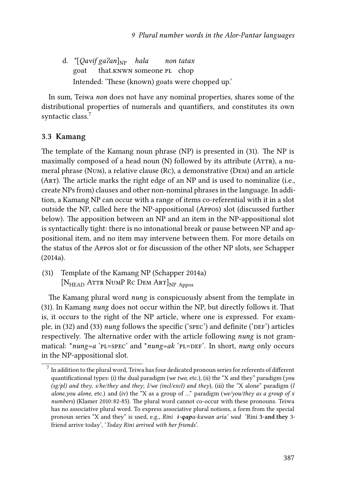d. *\**[Qavif ga?an]<sub>NP</sub> hala goat that.knwn someone pl chop *non tatax* Intended: 'These (known) goats were chopped up.'

In sum, Teiwa *non* does not have any nominal properties, shares some of the distributional properties of numerals and quantifiers, and constitutes its own syntactic class.<sup>7</sup>

#### <span id="page-12-0"></span>**3.3 Kamang**

The template of the Kamang noun phrase (NP) is presented in [\(31](#page-12-1)). The NP is maximally composed of a head noun  $(N)$  followed by its attribute (ATTR), a numeral phrase (Num), a relative clause (Rc), a demonstrative (Dem) and an article (Art). The article marks the right edge of an NP and is used to nominalize (i.e., create NPs from) clauses and other non-nominal phrases in the language. In addition, a Kamang NP can occur with a range of items co-referential with it in a slot outside the NP, called here the NP-appositional (Appos) slot (discussed further below). The apposition between an NP and an item in the NP-appositional slot is syntactically tight: there is no intonational break or pause between NP and appositional item, and no item may intervene between them. For more details on the status of the Appos slot or for discussion of the other NP slots, see [Schapper](#page-36-9) [\(2014a\)](#page-36-9).

<span id="page-12-1"></span>(31) Template of the Kamang NP [\(Schapper 2014a\)](#page-36-9)  $[N<sub>HEAD</sub>$  Attr NumP Rc Dem Art]<sub>NP</sub> Appos

The Kamang plural word *nung* is conspicuously absent from the template in [\(31](#page-12-1)). In Kamang *nung* does not occur within the NP, but directly follows it. That is, it occurs to the right of the NP article, where one is expressed. For exam-ple, in [\(32\)](#page-13-0)and ([33\)](#page-13-1) *nung* follows the specific ('spec') and definite ('DEF') articles respectively. The alternative order with the article following *nung* is not grammatical: \**nung=a* 'PL=SPEC' and \**nung=ak* 'PL=DEF'. In short, *nung* only occurs in the NP-appositional slot.

<sup>7</sup> In addition to the plural word, Teiwa has four dedicated pronoun series for referents of different quantificational types: (i) the dual paradigm (*we two*, etc.), (ii) the "X and they" paradigm (*you (sg/pl) and they*, *s/he/they and they*; *I/we (incl/excl) and they*), (iii) the "X alone" paradigm (*I alone*,*you alone*, etc.) and (iv) the "X as a group of …" paradigm (*we/you/they as a group of x numbers*) [\(Klamer 2010:](#page-36-5)82-85). The plural word cannot co-occur with these pronouns. Teiwa has no associative plural word. To express associative plural notions, a form from the special pronoun series "X and they" is used, e.g., *Rini i-qapa-kawan aria' wad* 'Rini **3-and.they** 3 friend arrive today', '*Today Rini arrived with her friends*'.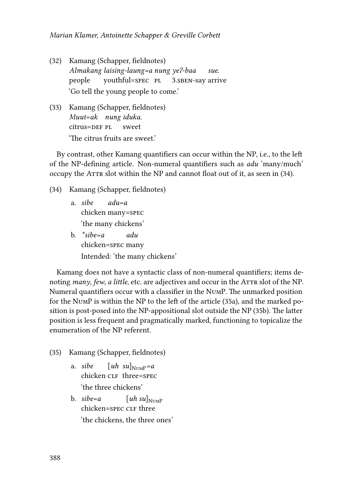*Marian Klamer, Antoinette Schapper & Greville Corbett*

- <span id="page-13-0"></span>(32) Kamang (Schapper, fieldnotes) *Almakang laising-laung=a nung yeʔ-baa* people youthful=spec pl 3.sben-say arrive *sue.* 'Go tell the young people to come.'
- <span id="page-13-1"></span>(33) Kamang (Schapper, fieldnotes) *Muut=ak nung iduka.* citrus=def pl sweet 'The citrus fruits are sweet.'

By contrast, other Kamang quantifiers can occur within the NP, i.e., to the left of the NP-defining article. Non-numeral quantifiers such as *adu* 'many/much' occupy the ATTR slot within the NP and cannot float out of it, as seen in [\(34\)](#page-13-2).

- <span id="page-13-2"></span>(34) Kamang (Schapper, fieldnotes)
	- a. *sibe* chicken many=spec *adu=a* 'the many chickens'
	- b. *\*sibe=a* chicken=spec many *adu* Intended: 'the many chickens'

Kamang does not have a syntactic class of non-numeral quantifiers; items denoting *many*, *few*, *a* little, etc. are adjectives and occur in the ATTR slot of the NP. Numeral quantifiers occur with a classifier in the NumP. The unmarked position for the NumP is within the NP to the left of the article([35](#page-13-3)a), and the marked position is post-posed into the NP-appositional slot outside the NP [\(35](#page-13-3)b). The latter position is less frequent and pragmatically marked, functioning to topicalize the enumeration of the NP referent.

- <span id="page-13-3"></span>(35) Kamang (Schapper, fieldnotes)
	- a. *sibe* chicken clf three=spec  $[uh \ su]_{\text{NumP}} = a$ 'the three chickens'
	- b. *sibe=a* chicken=spEC CLF three  $[uh\,su]_{\rm{NumP}}$ 'the chickens, the three ones'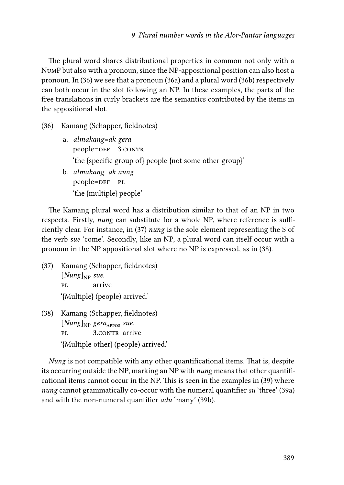The plural word shares distributional properties in common not only with a NumP but also with a pronoun, since the NP-appositional position can also host a pronoun. In([36](#page-14-0)) we see that a pronoun [\(36a](#page-14-0)) and a plural word [\(36](#page-14-0)b) respectively can both occur in the slot following an NP. In these examples, the parts of the free translations in curly brackets are the semantics contributed by the items in the appositional slot.

- <span id="page-14-0"></span>(36) Kamang (Schapper, fieldnotes)
	- a. *almakang=ak gera* people=def 3.contr 'the {specific group of} people {not some other group}'
	- b. *almakang=ak nung* people=def pl 'the {multiple} people'

The Kamang plural word has a distribution similar to that of an NP in two respects. Firstly, *nung* can substitute for a whole NP, where reference is sufficiently clear. For instance, in [\(37](#page-14-1)) *nung* is the sole element representing the S of the verb *sue* 'come'. Secondly, like an NP, a plural word can itself occur with a pronoun in the NP appositional slot where no NP is expressed, as in([38](#page-14-2)).

- <span id="page-14-1"></span>(37) Kamang (Schapper, fieldnotes)  $[Nung]_{NP}$  sue. pl arrive '{Multiple} (people) arrived.'
- <span id="page-14-2"></span>(38) Kamang (Schapper, fieldnotes)  $[Nung]_{NP}$  gera<sub>APPOS</sub> sue. pl 3. CONTR arrive '{Multiple other} (people) arrived.'

*Nung* is not compatible with any other quantificational items. That is, despite its occurring outside the NP, marking an NP with *nung* means that other quantificational items cannot occur in the NP. This is seen in the examples in([39\)](#page-15-0) where *nung* cannot grammatically co-occur with the numeral quantifier *su* 'three'([39a](#page-15-0)) and with the non-numeral quantifier *adu* 'many'([39b](#page-15-0)).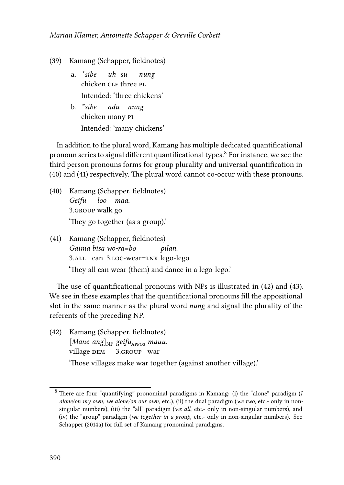- <span id="page-15-0"></span>(39) Kamang (Schapper, fieldnotes)
	- a. *\*sibe* chicken  $_{\rm CLF}$  three  $_{\rm PL}$ *uh su nung* Intended: 'three chickens'
	- b. *\*sibe* chicken many pl *adu nung* Intended: 'many chickens'

In addition to the plural word, Kamang has multiple dedicated quantificational pronoun series to signal different quantificational types. $^8$  For instance, we see the third person pronouns forms for group plurality and universal quantification in [\(40](#page-15-1)) and [\(41](#page-15-2)) respectively. The plural word cannot co-occur with these pronouns.

- <span id="page-15-1"></span>(40) Kamang (Schapper, fieldnotes) *Geifu* 3.group walk go *loo maa.* 'They go together (as a group).'
- <span id="page-15-2"></span>(41) Kamang (Schapper, fieldnotes) *Gaima bisa wo-ra=bo* 3.all can 3.loc-wear=lnk lego-lego *pilan.* 'They all can wear (them) and dance in a lego-lego.'

The use of quantificational pronouns with NPs is illustrated in [\(42\)](#page-15-3) and [\(43\)](#page-16-1). We see in these examples that the quantificational pronouns fill the appositional slot in the same manner as the plural word *nung* and signal the plurality of the referents of the preceding NP.

<span id="page-15-3"></span>(42) Kamang (Schapper, fieldnotes) [Mane ang]<sub>NP</sub> geifu<sub>APPOS</sub> mauu. village <sub>DEM</sub> 3.group war 'Those villages make war together (against another village).'

<sup>8</sup> There are four "quantifying" pronominal paradigms in Kamang: (i) the "alone" paradigm (*I alone/on my own*, *we alone/on our own*, etc.), (ii) the dual paradigm (*we two*, etc.- only in nonsingular numbers), (iii) the "all" paradigm (*we all*, etc.- only in non-singular numbers), and (iv) the "group" paradigm (*we together in a group*, etc.- only in non-singular numbers). See [Schapper \(2014a\)](#page-36-9) for full set of Kamang pronominal paradigms.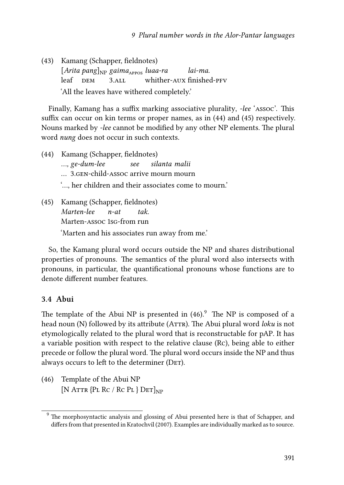<span id="page-16-1"></span>(43) Kamang (Schapper, fieldnotes) [*Arita pang*]NP *gaima*appos *luaa-ra* leaf <sub>DEM</sub> 3 ALL whither-aux finished-pfv *lai-ma.* 'All the leaves have withered completely.'

Finally, Kamang has a suffix marking associative plurality, *-lee* 'assoc'. This suffix can occur on kin terms or proper names, as in([44\)](#page-16-2) and [\(45](#page-16-3)) respectively. Nouns marked by *-lee* cannot be modified by any other NP elements. The plural word *nung* does not occur in such contexts.

- <span id="page-16-2"></span>(44) Kamang (Schapper, fieldnotes) *…, ge-dum-lee* … 3.gen-child-assoc arrive mourn mourn *see silanta malii* '…, her children and their associates come to mourn.'
- <span id="page-16-3"></span>(45) Kamang (Schapper, fieldnotes) *Marten-lee* Marten-assoc 1sg-from run *n-at tak.* 'Marten and his associates run away from me.'

So, the Kamang plural word occurs outside the NP and shares distributional properties of pronouns. The semantics of the plural word also intersects with pronouns, in particular, the quantificational pronouns whose functions are to denote different number features.

#### <span id="page-16-0"></span>**3.4 Abui**

The template of the Abui NP is presented in  $(46)$ .<sup>9</sup> The NP is composed of a head noun (N) followed by its attribute (ATTR). The Abui plural word *loku* is not etymologically related to the plural word that is reconstructable for pAP. It has a variable position with respect to the relative clause (Rc), being able to either precede or follow the plural word. The plural word occurs inside the NP and thus always occurs to left to the determiner (DET).

<span id="page-16-4"></span>(46) Template of the Abui NP  $[N \text{ A} \text{tr } P \text{L} \text{R} \text{C} / \text{R} \text{C} \text{P} \text{L} \text{B} \text{D} \text{E} \text{r}]_{NP}$ 

<sup>&</sup>lt;sup>9</sup> The morphosyntactic analysis and glossing of Abui presented here is that of Schapper, and differs from that presented in [Kratochvíl \(2007\)](#page-36-8). Examples are individually marked as to source.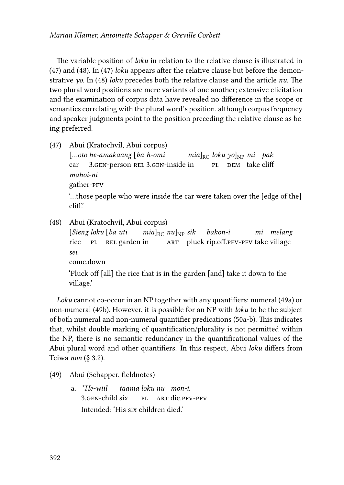The variable position of *loku* in relation to the relative clause is illustrated in [\(47](#page-17-0)) and([48](#page-17-1)). In([47\)](#page-17-0) *loku* appears after the relative clause but before the demonstrative *yo*. In([48](#page-17-1)) *loku* precedes both the relative clause and the article *nu*. The two plural word positions are mere variants of one another; extensive elicitation and the examination of corpus data have revealed no difference in the scope or semantics correlating with the plural word's position, although corpus frequency and speaker judgments point to the position preceding the relative clause as being preferred.

<span id="page-17-0"></span>(47) Abui (Kratochvíl, Abui corpus) [*…oto he-amakaang* [*ba h-omi* car 3.GEN-person REL 3.GEN-inside in  $mia]_{\text{RC}}$  loku yo]<sub>NP</sub> mi *pak* PL DEM take cliff *mahoi-ni* gather-PFV

'…those people who were inside the car were taken over the [edge of the] cliff.'

<span id="page-17-1"></span>(48) Abui (Kratochvíl, Abui corpus)

[*Sieng loku* [*ba uti* rice PL REL garden in  $[mia]_{\rm RC}$   $nu]_{\rm NP}$  sik art pluck rip.off.pfv-pfv take village *bakon-i mi melang sei.*

come.down

'Pluck off [all] the rice that is in the garden [and] take it down to the village.'

*Loku* cannot co-occur in an NP together with any quantifiers; numeral([49a](#page-17-2)) or non-numeral([49](#page-17-2)b). However, it is possible for an NP with *loku* to be the subject of both numeral and non-numeral quantifier predications [\(50a](#page-18-0)-b). This indicates that, whilst double marking of quantification/plurality is not permitted within the NP, there is no semantic redundancy in the quantificational values of the Abui plural word and other quantifiers. In this respect, Abui *loku* differs from Teiwa *non* (§ [3.2](#page-8-0)).

- <span id="page-17-2"></span>(49) Abui (Schapper, fieldnotes)
	- a. *\*He-wiil* 3.gen-child six *taama loku nu mon-i.* pl art die.pfv-pfv Intended: 'His six children died.'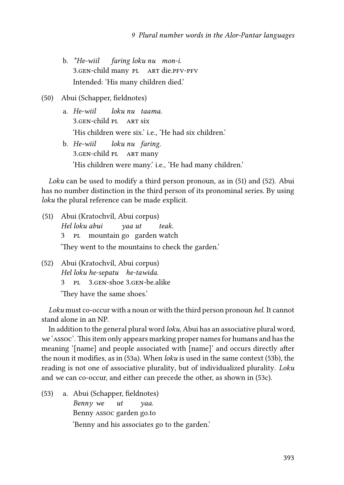- b. *\*He-wiil* 3.gen-child many pl art die.pfv-pfv *faring loku nu mon-i.* Intended: 'His many children died.'
- <span id="page-18-0"></span>(50) Abui (Schapper, fieldnotes)
	- a. *He-wiil* 3.GEN-child PL ART Six *loku nu taama.* 'His children were six.' i.e., 'He had six children.' b. *He-wiil loku nu faring.*
	- 3.GEN-child PL ART many 'His children were many.' i.e., 'He had many children.'

*Loku* can be used to modify a third person pronoun, as in [\(51](#page-18-1)) and [\(52](#page-18-2)). Abui has no number distinction in the third person of its pronominal series. By using *loku* the plural reference can be made explicit.

- <span id="page-18-1"></span>(51) Abui (Kratochvíl, Abui corpus) *Hel loku abui* 3 pl mountain go garden watch *yaa ut teak.* 'They went to the mountains to check the garden.'
- <span id="page-18-2"></span>(52) Abui (Kratochvíl, Abui corpus) *Hel loku he-sepatu he-tawida.* 3 pl 3.gen-shoe 3.gen-be.alike 'They have the same shoes.'

*Loku* must co-occur with a noun or with the third person pronoun *hel*. It cannot stand alone in an NP.

In addition to the general plural word *loku*, Abui has an associative plural word, *we* 'assoc'. This item only appears marking proper names for humans and has the meaning '[name] and people associated with [name]' and occurs directly after the noun it modifies, as in [\(53](#page-18-3)a). When *loku* is used in the same context([53b](#page-18-3)), the reading is not one of associative plurality, but of individualized plurality. *Loku* and *we* can co-occur, and either can precede the other, as shown in [\(53](#page-18-3)c).

<span id="page-18-3"></span>(53) a. Abui (Schapper, fieldnotes) *Benny we* Benny assoc garden go.to *ut yaa.* 'Benny and his associates go to the garden.'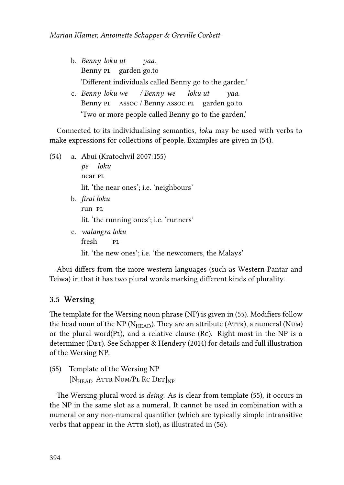- b. *Benny loku ut* Benny pl garden go.to *yaa.* 'Different individuals called Benny go to the garden.'
- c. *Benny loku we* Benny PL ASSOC / Benny ASSOC PL garden go.to */ Benny we loku ut yaa.* 'Two or more people called Benny go to the garden.'

Connected to its individualising semantics, *loku* may be used with verbs to make expressions for collections of people. Examples are given in([54](#page-19-0)).

```
(54) a. Abui (Kratochvíl 2007:155)
          pe
loku
          near
pl
          lit. 'the near ones'; i.e. 'neighbours'
       b. firai
loku
          run
pl
          lit. 'the running ones'; i.e. 'runners'
       c. walangra
loku
          fresh
                    pl
          lit. 'the new ones'; i.e. 'the newcomers, the Malays'
```
Abui differs from the more western languages (such as Western Pantar and Teiwa) in that it has two plural words marking different kinds of plurality.

#### **3.5 Wersing**

The template for the Wersing noun phrase (NP) is given in([55\)](#page-19-1). Modifiers follow the head noun of the NP ( $N<sub>HEAD</sub>$ ). They are an attribute (ATTR), a numeral (NUM) or the plural word(PL), and a relative clause (Rc). Right-most in the NP is a determiner (DET). See [Schapper & Hendery \(2014\)](#page-37-4) for details and full illustration of the Wersing NP.

<span id="page-19-1"></span>(55) Template of the Wersing NP  $[N<sub>HEAD</sub>$  Attr Num/Pl Rc Det]<sub>NP</sub>

The Wersing plural word is *deing*. As is clear from template([55](#page-19-1)), it occurs in the NP in the same slot as a numeral. It cannot be used in combination with a numeral or any non-numeral quantifier (which are typically simple intransitive verbs that appear in the ATTR slot), as illustrated in [\(56](#page-20-0)).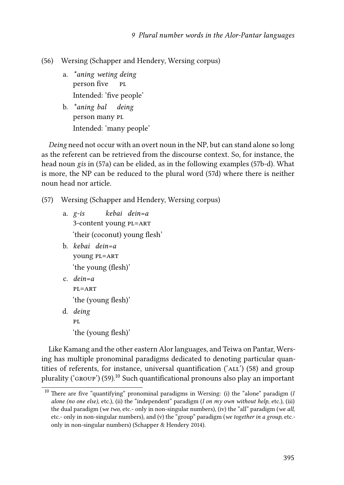- <span id="page-20-0"></span>(56) Wersing (Schapper and Hendery, Wersing corpus)
	- a. *\*aning weting deing* person five pl Intended: 'five people'
	- b. *\*aning bal* person many <mark>PL</mark> *deing* Intended: 'many people'

*Deing* need not occur with an overt noun in the NP, but can stand alone so long as the referent can be retrieved from the discourse context. So, for instance, the head noun *gis* in([57a](#page-20-1)) can be elided, as in the following examples([57b](#page-20-1)-d). What is more, the NP can be reduced to the plural word (57d) where there is neither noun head nor article.

- <span id="page-20-1"></span>(57) Wersing (Schapper and Hendery, Wersing corpus)
	- a. *g-is* 3-content young PL=ART *kebai dein=a* 'their (coconut) young flesh'
	- b. *kebai dein=a* young pl=art 'the young (flesh)'
	- c. *dein=a* pl=art 'the (young flesh)' d. *deing* pl 'the (young flesh)'

Like Kamang and the other eastern Alor languages, and Teiwa on Pantar, Wersing has multiple pronominal paradigms dedicated to denoting particular quantities of referents, for instance, universal quantification ('all') ([58\)](#page-21-0) and group plurality('GROUP') ([59\)](#page-21-1).<sup>10</sup> Such quantificational pronouns also play an important

<sup>10</sup> There are five "quantifying" pronominal paradigms in Wersing: (i) the "alone" paradigm (*I alone (no one else)*, etc.), (ii) the "independent" paradigm (*I on my own without help*, etc.), (iii) the dual paradigm (*we two*, etc.- only in non-singular numbers), (iv) the "all" paradigm (*we all*, etc.- only in non-singular numbers), and (v) the "group" paradigm (*we together in a group*, etc. only in non-singular numbers)([Schapper & Hendery 2014\)](#page-37-4).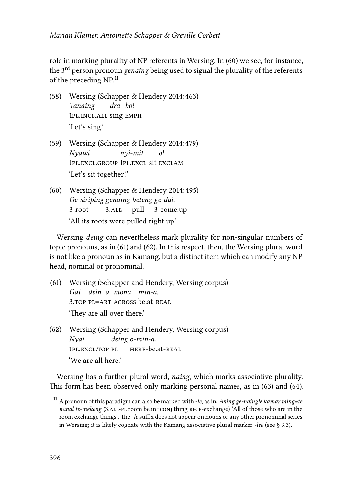role in marking plurality of NP referents in Wersing. In([60](#page-21-2)) we see, for instance, the 3rd person pronoun *genaing* being used to signal the plurality of the referents of the preceding NP.<sup>11</sup>

- <span id="page-21-0"></span>(58) Wersing [\(Schapper & Hendery 2014](#page-37-4):463) *Tanaing* 1pl.incl.all sing emph *dra bo!* 'Let's sing.'
- <span id="page-21-1"></span>(59) Wersing [\(Schapper & Hendery 2014](#page-37-4):479) *Nyawi* 1pl.excl.group 1pl.excl-sit exclam *nyi-mit o!* 'Let's sit together!'
- <span id="page-21-2"></span>(60) Wersing([Schapper & Hendery 2014](#page-37-4):495) *Ge-siriping genaing beteng ge-dai.* 3-root 3.all pull 3-come.up 'All its roots were pulled right up.'

Wersing *deing* can nevertheless mark plurality for non-singular numbers of topic pronouns, as in([61\)](#page-21-3) and([62\)](#page-21-4). In this respect, then, the Wersing plural word is not like a pronoun as in Kamang, but a distinct item which can modify any NP head, nominal or pronominal.

- <span id="page-21-3"></span>(61) Wersing (Schapper and Hendery, Wersing corpus) *Gai dein=a mona min-a.* 3.top pl=art across be.at-real 'They are all over there.'
- <span id="page-21-4"></span>(62) Wersing (Schapper and Hendery, Wersing corpus) *Nyai* 1pl.excl.top pl *deing o-min-a.* here-be.at-real 'We are all here.'

Wersing has a further plural word, *naing*, which marks associative plurality. This form has been observed only marking personal names, as in([63\)](#page-22-0) and [\(64\)](#page-22-1).

<sup>11</sup> A pronoun of this paradigm can also be marked with *-le*, as in: *Aning ge-naingle kamar ming=te nanal te-mekeng* (3.ALL-PL room be.in=conj thing RECP-exchange) 'All of those who are in the room exchange things'. The -*le* suffix does not appear on nouns or any other pronominal series in Wersing; it is likely cognate with the Kamang associative plural marker *-lee* (see § [3.3\)](#page-12-0).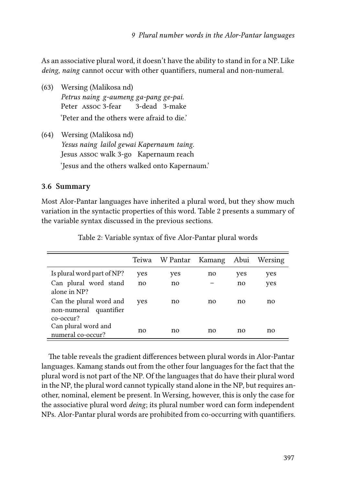As an associative plural word, it doesn't have the ability to stand in for a NP. Like *deing*, *naing* cannot occur with other quantifiers, numeral and non-numeral.

- <span id="page-22-0"></span>(63) Wersing [\(Malikosa nd](#page-36-10)) *Petrus naing g-aumeng ga-pang ge-pai.* Peter assoc 3-fear 3-dead 3-make 'Peter and the others were afraid to die.'
- <span id="page-22-1"></span>(64) Wersing [\(Malikosa nd\)](#page-36-10) *Yesus naing lailol gewai Kapernaum taing.* Jesus assoc walk 3-go Kapernaum reach 'Jesus and the others walked onto Kapernaum.'

#### **3.6 Summary**

Most Alor-Pantar languages have inherited a plural word, but they show much variation in the syntactic properties of this word. Table [2](#page-22-2) presents a summary of the variable syntax discussed in the previous sections.

|                                                                | Teiwa | W Pantar | Kamang Abui |     | Wersing |
|----------------------------------------------------------------|-------|----------|-------------|-----|---------|
| Is plural word part of NP?                                     | yes   | yes      | no          | yes | yes     |
| Can plural word stand<br>alone in NP?                          | no    | no       |             | no  | yes     |
| Can the plural word and<br>non-numeral quantifier<br>co-occur? | yes   | no       | no          | no  | no      |
| Can plural word and<br>numeral co-occur?                       | no    | no       | no          | no  | no      |

<span id="page-22-2"></span>Table 2: Variable syntax of five Alor-Pantar plural words

The table reveals the gradient differences between plural words in Alor-Pantar languages. Kamang stands out from the other four languages for the fact that the plural word is not part of the NP. Of the languages that do have their plural word in the NP, the plural word cannot typically stand alone in the NP, but requires another, nominal, element be present. In Wersing, however, this is only the case for the associative plural word *deing*; its plural number word can form independent NPs. Alor-Pantar plural words are prohibited from co-occurring with quantifiers.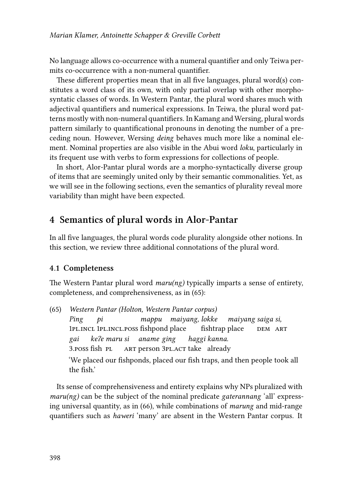No language allows co-occurrence with a numeral quantifier and only Teiwa permits co-occurrence with a non-numeral quantifier.

These different properties mean that in all five languages, plural word(s) constitutes a word class of its own, with only partial overlap with other morphosyntatic classes of words. In Western Pantar, the plural word shares much with adjectival quantifiers and numerical expressions. In Teiwa, the plural word patterns mostly with non-numeral quantifiers. In Kamang and Wersing, plural words pattern similarly to quantificational pronouns in denoting the number of a preceding noun. However, Wersing *deing* behaves much more like a nominal element. Nominal properties are also visible in the Abui word *loku*, particularly in its frequent use with verbs to form expressions for collections of people.

In short, Alor-Pantar plural words are a morpho-syntactically diverse group of items that are seemingly united only by their semantic commonalities. Yet, as we will see in the following sections, even the semantics of plurality reveal more variability than might have been expected.

### <span id="page-23-0"></span>**4 Semantics of plural words in Alor-Pantar**

In all five languages, the plural words code plurality alongside other notions. In this section, we review three additional connotations of the plural word.

#### <span id="page-23-2"></span>**4.1 Completeness**

The Western Pantar plural word *maru(ng)* typically imparts a sense of entirety, completeness, and comprehensiveness, as in [\(65](#page-23-1)):

<span id="page-23-1"></span>(65) *Western Pantar (Holton, Western Pantar corpus) Ping* 1pl.incl 1pl.incl.poss fishpond place *pi mappu maiyang, lokke* fishtrap place *maiyang saiga si,* DEM ART *gai* 3.poss fish pl *keʔe maru si* ART person 3PL.ACT take already *aname ging haggi kanna.* 'We placed our fishponds, placed our fish traps, and then people took all the fish.'

Its sense of comprehensiveness and entirety explains why NPs pluralized with *maru(ng)* can be the subject of the nominal predicate *gaterannang* 'all' expressing universal quantity, as in([66](#page-24-0)), while combinations of *marung* and mid-range quantifiers such as *haweri* 'many' are absent in the Western Pantar corpus. It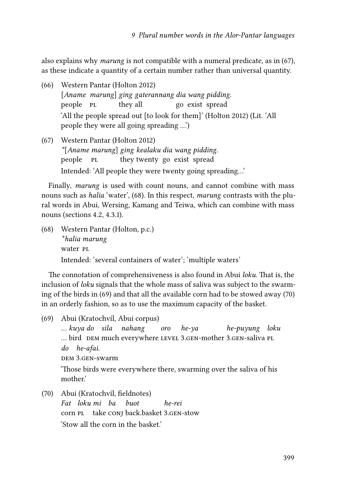also explains why *marung* is not compatible with a numeral predicate, as in [\(67\)](#page-24-1), as these indicate a quantity of a certain number rather than universal quantity.

- <span id="page-24-0"></span>(66) Western Pantar([Holton 2012\)](#page-36-3) [*Aname marung*] *ging gaterannang dia wang pidding.* people PL they all go exist spread 'All the people spread out [to look for them]'([Holton 2012\)](#page-36-3) (Lit. 'All people they were all going spreading …')
- <span id="page-24-1"></span>(67) Western Pantar([Holton 2012](#page-36-3)) *\**[*Aname marung*] *ging kealaku dia wang pidding.* people PL they twenty go exist spread Intended: 'All people they were twenty going spreading…'

Finally, *marung* is used with count nouns, and cannot combine with mass nouns such as *halia* 'water', [\(68](#page-24-2)). In this respect, *marung* contrasts with the plural words in Abui, Wersing, Kamang and Teiwa, which can combine with mass nouns (sections 4.2, 4.3.1).

<span id="page-24-2"></span>(68) Western Pantar (Holton, p.c.) *\*halia marung* water pl Intended: 'several containers of water'; 'multiple waters'

The connotation of comprehensiveness is also found in Abui *loku*. That is, the inclusion of *loku* signals that the whole mass of saliva was subject to the swarming of the birds in([69](#page-24-3)) and that all the available corn had to be stowed away [\(70\)](#page-24-4) in an orderly fashion, so as to use the maximum capacity of the basket.

- <span id="page-24-3"></span>(69) Abui (Kratochvíl, Abui corpus) *… kuya do sila* ... bird DEM much everywhere LEVEL 3.GEN-mother 3.GEN-saliva PL *nahang oro he-ya he-puyung loku do he-afai.* dem 3.gen-swarm 'Those birds were everywhere there, swarming over the saliva of his mother.'
- <span id="page-24-4"></span>(70) Abui (Kratochvíl, fieldnotes) *Fat loku mi ba buot* corn pl take conj back.basket 3.gen-stow *he-rei* 'Stow all the corn in the basket.'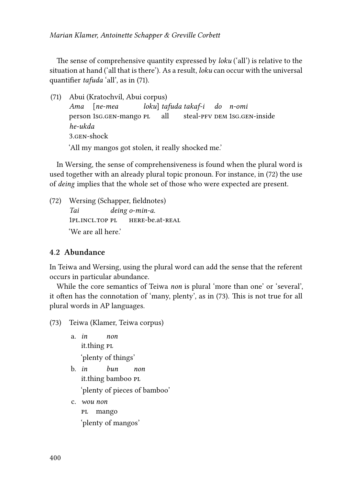The sense of comprehensive quantity expressed by *loku* ('all') is relative to the situation at hand ('all that is there'). As a result, *loku* can occur with the universal quantifier *tafuda* 'all', as in([71\)](#page-25-1).

<span id="page-25-1"></span>(71) Abui (Kratochvíl, Abui corpus) *Ama* [*ne-mea* person 1sg.gen-mango pl *loku*] *tafuda takaf-i* all steal-pfv DEM 1sG.GEN-inside *do n-omi he-ukda* 3.gen-shock 'All my mangos got stolen, it really shocked me.'

In Wersing, the sense of comprehensiveness is found when the plural word is used together with an already plural topic pronoun. For instance, in [\(72](#page-25-2)) the use of *deing* implies that the whole set of those who were expected are present.

<span id="page-25-2"></span>(72) Wersing (Schapper, fieldnotes) *Tai* 1pl.incl.top pl *deing o-min-a.* here-be.at-real 'We are all here'

#### <span id="page-25-0"></span>**4.2 Abundance**

In Teiwa and Wersing, using the plural word can add the sense that the referent occurs in particular abundance.

While the core semantics of Teiwa *non* is plural 'more than one' or 'several', it often has the connotation of 'many, plenty', as in [\(73](#page-25-3)). This is not true for all plural words in AP languages.

<span id="page-25-3"></span>(73) Teiwa (Klamer, Teiwa corpus)

- a. *in* it.thing pl *non* 'plenty of things'
- b. *in* it.thing bamboo PL *bun non* 'plenty of pieces of bamboo'
- c. *wou non* pl mango 'plenty of mangos'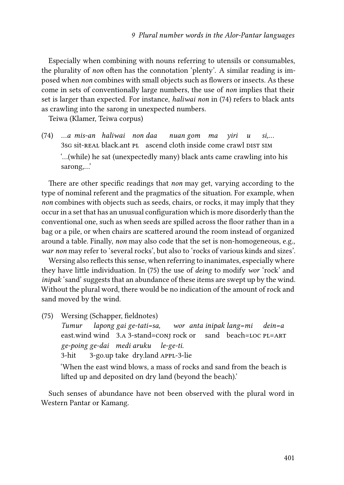Especially when combining with nouns referring to utensils or consumables, the plurality of *non* often has the connotation 'plenty'. A similar reading is imposed when *non* combines with small objects such as flowers or insects. As these come in sets of conventionally large numbers, the use of *non* implies that their set is larger than expected. For instance, *haliwai non* in([74](#page-26-0)) refers to black ants as crawling into the sarong in unexpected numbers.

Teiwa (Klamer, Teiwa corpus)

<span id="page-26-0"></span>(74) *…a mis-an haliwai non daa* 3sG sit-real black.ant PL ascend cloth inside come crawl DIST SIM *nuan gom ma yiri u si,…* '…(while) he sat (unexpectedly many) black ants came crawling into his sarong,…'

There are other specific readings that *non* may get, varying according to the type of nominal referent and the pragmatics of the situation. For example, when *non* combines with objects such as seeds, chairs, or rocks, it may imply that they occur in a set that has an unusual configuration which is more disorderly than the conventional one, such as when seeds are spilled across the floor rather than in a bag or a pile, or when chairs are scattered around the room instead of organized around a table. Finally, *non* may also code that the set is non-homogeneous, e.g., *war non* may refer to 'several rocks', but also to 'rocks of various kinds and sizes'.

Wersing also reflects this sense, when referring to inanimates, especially where they have little individuation. In [\(75\)](#page-26-1) the use of *deing* to modify *wor* 'rock' and *inipak* 'sand' suggests that an abundance of these items are swept up by the wind. Without the plural word, there would be no indication of the amount of rock and sand moved by the wind.

<span id="page-26-1"></span>(75) Wersing (Schapper, fieldnotes)

*Tumur* east.wind wind 3.a 3-stand=conj rock or *lapong gai ge-tati=sa, wor anta inipak lang=mi* sand beach=LOC PL=ART *dein=a ge-poing ge-dai medi aruku* 3-hit 3-go.up take dry.land appl-3-lie *le-ge-ti.*

'When the east wind blows, a mass of rocks and sand from the beach is lifted up and deposited on dry land (beyond the beach).'

Such senses of abundance have not been observed with the plural word in Western Pantar or Kamang.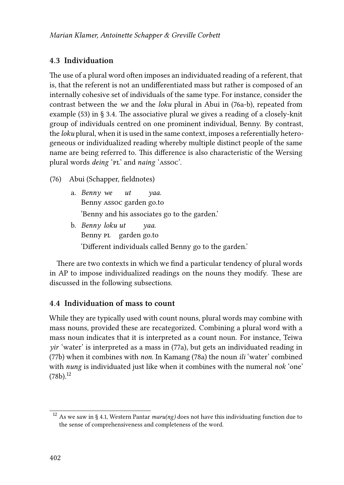#### **4.3 Individuation**

The use of a plural word often imposes an individuated reading of a referent, that is, that the referent is not an undifferentiated mass but rather is composed of an internally cohesive set of individuals of the same type. For instance, consider the contrast between the *we* and the *loku* plural in Abui in [\(76a](#page-27-0)-b), repeated from example([53\)](#page-18-3) in § [3.4](#page-16-0). The associative plural *we* gives a reading of a closely-knit group of individuals centred on one prominent individual, Benny. By contrast, the *loku* plural, when it is used in the same context, imposes a referentially heterogeneous or individualized reading whereby multiple distinct people of the same name are being referred to. This difference is also characteristic of the Wersing plural words *deing* 'pl' and *naing* 'assoc'.

<span id="page-27-0"></span>(76) Abui (Schapper, fieldnotes)

| a. Benny we ut                               |  | vaa. |  |  |
|----------------------------------------------|--|------|--|--|
| Benny Assoc garden go.to                     |  |      |  |  |
| 'Benny and his associates go to the garden.' |  |      |  |  |
| b. Benny loku ut<br>Benny PL garden go.to    |  | vaa. |  |  |

'Different individuals called Benny go to the garden.'

There are two contexts in which we find a particular tendency of plural words in AP to impose individualized readings on the nouns they modify. These are discussed in the following subsections.

#### **4.4 Individuation of mass to count**

While they are typically used with count nouns, plural words may combine with mass nouns, provided these are recategorized. Combining a plural word with a mass noun indicates that it is interpreted as a count noun. For instance, Teiwa *yir* 'water' is interpreted as a mass in [\(77](#page-28-0)a), but gets an individuated reading in [\(77b](#page-28-0)) when it combines with *non*. In Kamang([78a](#page-28-1)) the noun *ili* 'water' combined with *nung* is individuated just like when it combines with the numeral *nok* 'one'  $(78b).^{12}$  $(78b).^{12}$ 

<sup>12</sup> As we saw in § [4.1](#page-23-2), Western Pantar *maru(ng)* does not have this individuating function due to the sense of comprehensiveness and completeness of the word.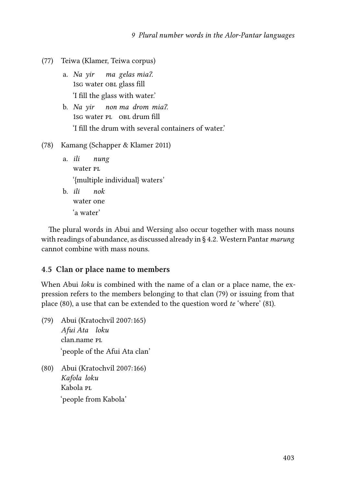- <span id="page-28-0"></span>(77) Teiwa (Klamer, Teiwa corpus)
	- a. *Na yir* 1sg water obl glass fill *ma gelas miaʔ.* 'I fill the glass with water.'
	- b. *Na yir* 1sg water pl obl drum fill *non ma drom miaʔ.* 'I fill the drum with several containers of water.'
- <span id="page-28-1"></span>(78) Kamang [\(Schapper & Klamer 2011](#page-37-0))
	- a. *ili* water pl *nung* '{multiple individual} waters'
	- b. *ili* water one *nok* 'a water'

The plural words in Abui and Wersing also occur together with mass nouns with readings of abundance, as discussed already in § [4.2](#page-25-0). Western Pantar *marung* cannot combine with mass nouns.

#### **4.5 Clan or place name to members**

When Abui *loku* is combined with the name of a clan or a place name, the expression refers to the members belonging to that clan [\(79](#page-28-2)) or issuing from that place [\(80\)](#page-28-3), a use that can be extended to the question word *te* 'where'([81\)](#page-28-4).

- <span id="page-28-2"></span>(79) Abui [\(Kratochvíl 2007:](#page-36-8)165) *Afui Ata loku* clan.name pl 'people of the Afui Ata clan'
- <span id="page-28-4"></span><span id="page-28-3"></span>(80) Abui([Kratochvíl 2007:](#page-36-8)166) *Kafola loku* Kabola <mark>p</mark>l 'people from Kabola'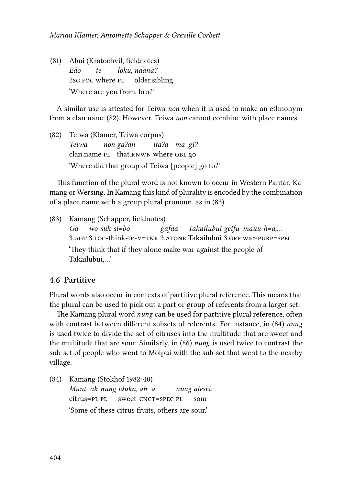(81) Abui (Kratochvil, fieldnotes) *Edo* 2sg.foc where pl *te loku, naana?* older.sibling 'Where are you from, bro?'

A similar use is attested for Teiwa *non* when it is used to make an ethnonym from a clan name([82](#page-29-0)). However, Teiwa *non* cannot combine with place names.

<span id="page-29-0"></span>(82) Teiwa (Klamer, Teiwa corpus) *Teiwa* clan.name pl that.knwn where obl go *non gaʔan itaʔa ma gi?* 'Where did that group of Teiwa [people] go to?'

This function of the plural word is not known to occur in Western Pantar, Kamang or Wersing. In Kamang this kind of plurality is encoded by the combination of a place name with a group plural pronoun, as in([83](#page-29-1)).

<span id="page-29-1"></span>(83) Kamang (Schapper, fieldnotes) *Ga* 3.AGT 3.LOC-think-IPFV=LNK 3.ALONE Takailubui 3.GRP war-PURP=SPEC *wo-suk-si=bo gafaa Takailubui geifu mauu-h=a,…* 'They think that if they alone make war against the people of Takailubui,…'

#### **4.6 Partitive**

Plural words also occur in contexts of partitive plural reference. This means that the plural can be used to pick out a part or group of referents from a larger set.

The Kamang plural word *nung* can be used for partitive plural reference, often with contrast between different subsets of referents. For instance, in([84](#page-29-2)) *nung* is used twice to divide the set of citruses into the multitude that are sweet and the multitude that are sour. Similarly, in([86\)](#page-30-0) *nung* is used twice to contrast the sub-set of people who went to Molpui with the sub-set that went to the nearby village.

<span id="page-29-2"></span>(84) Kamang([Stokhof 1982:](#page-37-3)40) *Muut=ak nung iduka, ah=a* citrus=pl pl sweet CNCT=SPEC PL *nung alesei.* sour 'Some of these citrus fruits, others are sour.'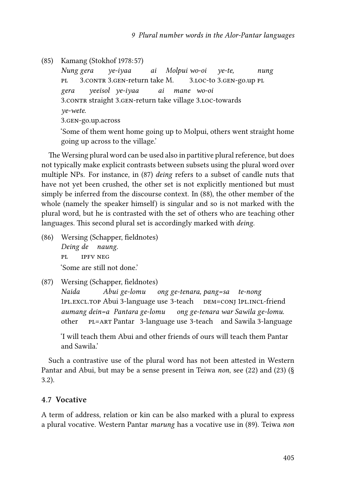(85) Kamang [\(Stokhof 1978:](#page-37-2)57)

*Nung gera*  $p_{\text{L}}$ 3.contr 3.gen-return take M. *ye-iyaa ai Molpui wo-oi* 3.LOC-to 3.GEN-go.up PL *ye-te, nung gera* 3.contr straight 3.gen-return take village 3.loc-towards *yeeisol ye-iyaa ai mane wo-oi ye-wete.* 3.gen-go.up.across

'Some of them went home going up to Molpui, others went straight home going up across to the village.'

The Wersing plural word can be used also in partitive plural reference, but does not typically make explicit contrasts between subsets using the plural word over multiple NPs. For instance, in [\(87](#page-30-1)) *deing* refers to a subset of candle nuts that have not yet been crushed, the other set is not explicitly mentioned but must simply be inferred from the discourse context. In [\(88](#page-31-0)), the other member of the whole (namely the speaker himself) is singular and so is not marked with the plural word, but he is contrasted with the set of others who are teaching other languages. This second plural set is accordingly marked with *deing*.

- <span id="page-30-0"></span>(86) Wersing (Schapper, fieldnotes) *Deing de*  $PI.$ ipfv neg *naung.* 'Some are still not done.'
- <span id="page-30-1"></span>(87) Wersing (Schapper, fieldnotes)

*Naida* 1PL.EXCL.TOP Abui 3-language use 3-teach *Abui ge-lomu ong ge-tenara, pang=sa* dem=conj 1pl.incl-friend *te-nong aumang dein=a Pantara ge-lomu* other pl=art Pantar 3-language use 3-teach and Sawila 3-language *ong ge-tenara war Sawila ge-lomu.*

'I will teach them Abui and other friends of ours will teach them Pantar and Sawila.'

Such a contrastive use of the plural word has not been attested in Western Pantar and Abui, but may be a sense present in Teiwa *non*, see([22\)](#page-9-1) and [\(23\)](#page-9-2) (§ [3.2\)](#page-8-0).

#### **4.7 Vocative**

A term of address, relation or kin can be also marked with a plural to express a plural vocative. Western Pantar *marung* has a vocative use in [\(89](#page-31-1)). Teiwa *non*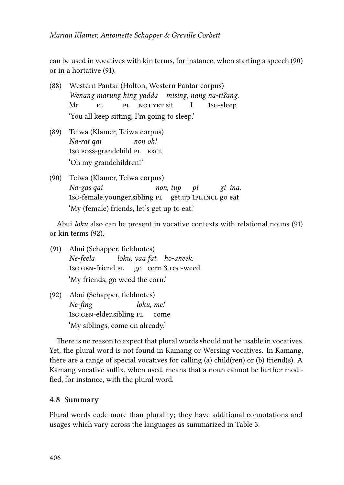can be used in vocatives with kin terms, for instance, when starting a speech([90](#page-31-2)) or in a hortative [\(91\)](#page-31-3).

- <span id="page-31-0"></span>(88) Western Pantar (Holton, Western Pantar corpus) *Wenang marung hing yadda mising, nang na-tiʔang.* Mr  $\overline{P}L$  $\overline{P}L$ NOT.YET <mark>sit</mark> I 1sg-sleep 'You all keep sitting, I'm going to sleep.'
- <span id="page-31-1"></span>(89) Teiwa (Klamer, Teiwa corpus) *Na-rat qai* 1sG.poss-grandchild PL EXCL *non oh!* 'Oh my grandchildren!'
- <span id="page-31-2"></span>(90) Teiwa (Klamer, Teiwa corpus) *Na-gas qai* 1sG-female.younger.sibling PL get.up 1PL.INCL go eat *non, tup pi gi ina.* 'My (female) friends, let's get up to eat.'

Abui *loku* also can be present in vocative contexts with relational nouns [\(91](#page-31-3)) or kin terms [\(92\)](#page-31-4).

- <span id="page-31-3"></span>(91) Abui (Schapper, fieldnotes) *Ne-feela* 1sg.gen-friend pl *loku, yaa fat ho-aneek.* go corn 3.loc-weed 'My friends, go weed the corn.'
- <span id="page-31-4"></span>(92) Abui (Schapper, fieldnotes) *Ne-fing* 1sg.gen-elder.sibling PL *loku, me!* come 'My siblings, come on already.'

There is no reason to expect that plural words should not be usable in vocatives. Yet, the plural word is not found in Kamang or Wersing vocatives. In Kamang, there are a range of special vocatives for calling (a) child(ren) or (b) friend(s). A Kamang vocative suffix, when used, means that a noun cannot be further modified, for instance, with the plural word.

#### **4.8 Summary**

Plural words code more than plurality; they have additional connotations and usages which vary across the languages as summarized in Table [3.](#page-32-1)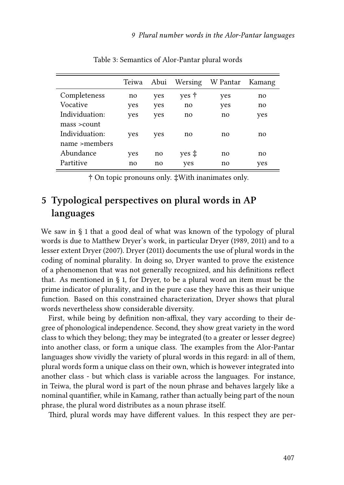|                | Teiwa | Abui | Wersing        | W Pantar | Kamang |
|----------------|-------|------|----------------|----------|--------|
| Completeness   | no    | yes  | yes †          | yes      | no     |
| Vocative       | yes   | yes  | no             | yes      | no     |
| Individuation: | yes   | yes  | no             | no       | yes    |
| mass > count   |       |      |                |          |        |
| Individuation: | yes   | yes  | no             | no       | no     |
| name >members  |       |      |                |          |        |
| Abundance      | yes   | no   | yes $\ddagger$ | no       | no     |
| Partitive      | no    | no   | yes            | no       | yes    |

<span id="page-32-1"></span>Table 3: Semantics of Alor-Pantar plural words

† On topic pronouns only. ‡With inanimates only.

# <span id="page-32-0"></span>**5 Typological perspectives on plural words in AP languages**

We saw in § [1](#page-0-0) that a good deal of what was known of the typology of plural words is due to Matthew Dryer's work, in particular [Dryer \(1989](#page-35-0), [2011](#page-36-12)) and to a lesser extent [Dryer \(2007\).](#page-36-0) [Dryer \(2011\)](#page-36-12) documents the use of plural words in the coding of nominal plurality. In doing so, Dryer wanted to prove the existence of a phenomenon that was not generally recognized, and his definitions reflect that. As mentioned in § [1](#page-0-0), for Dryer, to be a plural word an item must be the prime indicator of plurality, and in the pure case they have this as their unique function. Based on this constrained characterization, Dryer shows that plural words nevertheless show considerable diversity.

First, while being by definition non-affixal, they vary according to their degree of phonological independence. Second, they show great variety in the word class to which they belong; they may be integrated (to a greater or lesser degree) into another class, or form a unique class. The examples from the Alor-Pantar languages show vividly the variety of plural words in this regard: in all of them, plural words form a unique class on their own, which is however integrated into another class - but which class is variable across the languages. For instance, in Teiwa, the plural word is part of the noun phrase and behaves largely like a nominal quantifier, while in Kamang, rather than actually being part of the noun phrase, the plural word distributes as a noun phrase itself.

Third, plural words may have different values. In this respect they are per-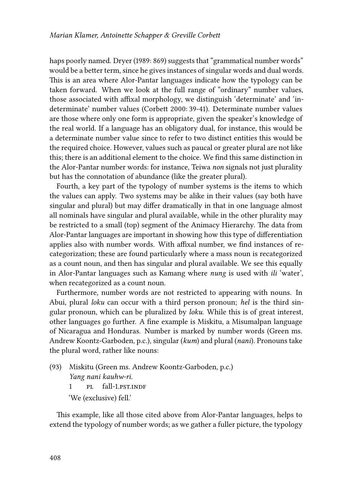haps poorly named. Dryer (1989: 869) suggests that "grammatical number words" would be a better term, since he gives instances of singular words and dual words. This is an area where Alor-Pantar languages indicate how the typology can be taken forward. When we look at the full range of "ordinary" number values, those associated with affixal morphology, we distinguish 'determinate' and 'indeterminate' number values([Corbett 2000](#page-35-2): 39-41). Determinate number values are those where only one form is appropriate, given the speaker's knowledge of the real world. If a language has an obligatory dual, for instance, this would be a determinate number value since to refer to two distinct entities this would be the required choice. However, values such as paucal or greater plural are not like this; there is an additional element to the choice. We find this same distinction in the Alor-Pantar number words: for instance, Teiwa *non* signals not just plurality but has the connotation of abundance (like the greater plural).

Fourth, a key part of the typology of number systems is the items to which the values can apply. Two systems may be alike in their values (say both have singular and plural) but may differ dramatically in that in one language almost all nominals have singular and plural available, while in the other plurality may be restricted to a small (top) segment of the Animacy Hierarchy. The data from Alor-Pantar languages are important in showing how this type of differentiation applies also with number words. With affixal number, we find instances of recategorization; these are found particularly where a mass noun is recategorized as a count noun, and then has singular and plural available. We see this equally in Alor-Pantar languages such as Kamang where *nung* is used with *ili* 'water', when recategorized as a count noun.

Furthermore, number words are not restricted to appearing with nouns. In Abui, plural *loku* can occur with a third person pronoun; *hel* is the third singular pronoun, which can be pluralized by *loku*. While this is of great interest, other languages go further. A fine example is Miskitu, a Misumalpan language of Nicaragua and Honduras. Number is marked by number words([Green ms.](#page-36-13) Andrew Koontz-Garboden, p.c.), singular (*kum*) and plural (*nani*). Pronouns take the plural word, rather like nouns:

- (93) Miskitu [\(Green ms.](#page-36-13) Andrew Koontz-Garboden, p.c.) *Yang nani kauhw-ri.*
	- 1  $PI.$ fall-1.pst.indf

'We (exclusive) fell.'

This example, like all those cited above from Alor-Pantar languages, helps to extend the typology of number words; as we gather a fuller picture, the typology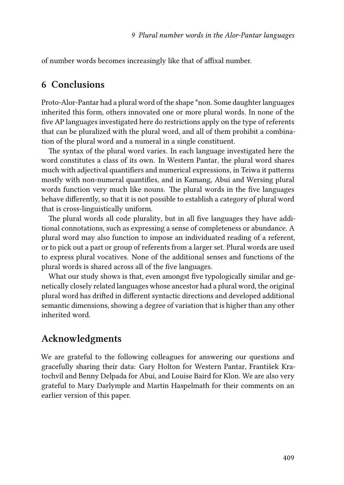of number words becomes increasingly like that of affixal number.

#### <span id="page-34-0"></span>**6 Conclusions**

Proto-Alor-Pantar had a plural word of the shape \*non. Some daughter languages inherited this form, others innovated one or more plural words. In none of the five AP languages investigated here do restrictions apply on the type of referents that can be pluralized with the plural word, and all of them prohibit a combination of the plural word and a numeral in a single constituent.

The syntax of the plural word varies. In each language investigated here the word constitutes a class of its own. In Western Pantar, the plural word shares much with adjectival quantifiers and numerical expressions, in Teiwa it patterns mostly with non-numeral quantifies, and in Kamang, Abui and Wersing plural words function very much like nouns. The plural words in the five languages behave differently, so that it is not possible to establish a category of plural word that is cross-linguistically uniform.

The plural words all code plurality, but in all five languages they have additional connotations, such as expressing a sense of completeness or abundance. A plural word may also function to impose an individuated reading of a referent, or to pick out a part or group of referents from a larger set. Plural words are used to express plural vocatives. None of the additional senses and functions of the plural words is shared across all of the five languages.

What our study shows is that, even amongst five typologically similar and genetically closely related languages whose ancestor had a plural word, the original plural word has drifted in different syntactic directions and developed additional semantic dimensions, showing a degree of variation that is higher than any other inherited word.

### **Acknowledgments**

We are grateful to the following colleagues for answering our questions and gracefully sharing their data: Gary Holton for Western Pantar, František Kratochvíl and Benny Delpada for Abui, and Louise Baird for Klon. We are also very grateful to Mary Darlymple and Martin Haspelmath for their comments on an earlier version of this paper.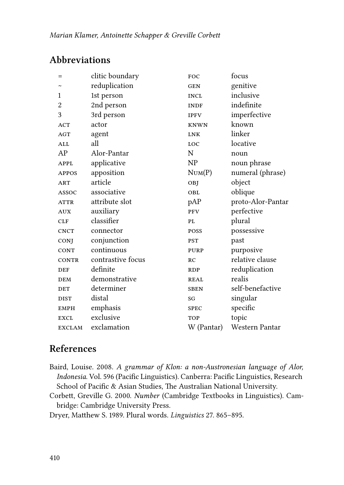# **Abbreviations**

| $=$           | clitic boundary   | <b>FOC</b>  | focus             |
|---------------|-------------------|-------------|-------------------|
|               | reduplication     | <b>GEN</b>  | genitive          |
| 1             | 1st person        | <b>INCL</b> | inclusive         |
| 2             | 2nd person        | <b>INDF</b> | indefinite        |
| 3             | 3rd person        | <b>IPFV</b> | imperfective      |
| <b>ACT</b>    | actor             | <b>KNWN</b> | known             |
| <b>AGT</b>    | agent             | <b>LNK</b>  | linker            |
| ALL           | all               | LOC         | locative          |
| AP            | Alor-Pantar       | N           | noun              |
| <b>APPL</b>   | applicative       | NP          | noun phrase       |
| <b>APPOS</b>  | apposition        | Num(P)      | numeral (phrase)  |
| <b>ART</b>    | article           | OBJ         | object            |
| ASSOC         | associative       | OBL         | oblique           |
| <b>ATTR</b>   | attribute slot    | pAP         | proto-Alor-Pantar |
| <b>AUX</b>    | auxiliary         | PFV         | perfective        |
| <b>CLF</b>    | classifier        | PL          | plural            |
| <b>CNCT</b>   | connector         | <b>POSS</b> | possessive        |
| CONJ          | conjunction       | <b>PST</b>  | past              |
| <b>CONT</b>   | continuous        | PURP        | purposive         |
| <b>CONTR</b>  | contrastive focus | RC          | relative clause   |
| <b>DEF</b>    | definite          | <b>RDP</b>  | reduplication     |
| DEM           | demonstrative     | <b>REAL</b> | realis            |
| <b>DET</b>    | determiner        | <b>SBEN</b> | self-benefactive  |
| <b>DIST</b>   | distal            | SG          | singular          |
| <b>EMPH</b>   | emphasis          | <b>SPEC</b> | specific          |
| <b>EXCL</b>   | exclusive         | <b>TOP</b>  | topic             |
| <b>EXCLAM</b> | exclamation       | W (Pantar)  | Western Pantar    |

# **References**

- <span id="page-35-1"></span>Baird, Louise. 2008. *A grammar of Klon: a non-Austronesian language of Alor, Indonesia*. Vol. 596 (Pacific Linguistics). Canberra: Pacific Linguistics, Research School of Pacific & Asian Studies, The Australian National University.
- <span id="page-35-2"></span>Corbett, Greville G. 2000. *Number* (Cambridge Textbooks in Linguistics). Cambridge: Cambridge University Press.
- <span id="page-35-0"></span>Dryer, Matthew S. 1989. Plural words. *Linguistics* 27. 865–895.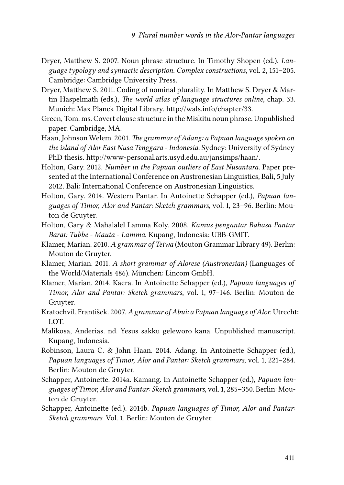- <span id="page-36-0"></span>Dryer, Matthew S. 2007. Noun phrase structure. In Timothy Shopen (ed.), *Language typology and syntactic description. Complex constructions*, vol. 2, 151–205. Cambridge: Cambridge University Press.
- <span id="page-36-12"></span>Dryer, Matthew S. 2011. Coding of nominal plurality. In Matthew S. Dryer & Martin Haspelmath (eds.), *The world atlas of language structures online*, chap. 33. Munich: Max Planck Digital Library. <http://wals.info/chapter/33>.
- <span id="page-36-13"></span>Green, Tom. ms. Covert clause structure in the Miskitu noun phrase. Unpublished paper. Cambridge, MA.
- <span id="page-36-11"></span>Haan, Johnson Welem. 2001. *The grammar of Adang: a Papuan language spoken on the island of Alor East Nusa Tenggara - Indonesia*. Sydney: University of Sydney PhD thesis. <http://www-personal.arts.usyd.edu.au/jansimps/haan/>.
- <span id="page-36-3"></span>Holton, Gary. 2012. *Number in the Papuan outliers of East Nusantara*. Paper presented at the International Conference on Austronesian Linguistics, Bali, 5 July 2012. Bali: International Conference on Austronesian Linguistics.
- <span id="page-36-4"></span>Holton, Gary. 2014. Western Pantar. In Antoinette Schapper (ed.), *Papuan languages of Timor, Alor and Pantar: Sketch grammars*, vol. 1, 23–96. Berlin: Mouton de Gruyter.
- <span id="page-36-2"></span>Holton, Gary & Mahalalel Lamma Koly. 2008. *Kamus pengantar Bahasa Pantar Barat: Tubbe - Mauta - Lamma*. Kupang, Indonesia: UBB-GMIT.
- <span id="page-36-5"></span>Klamer, Marian. 2010. *A grammar of Teiwa* (Mouton Grammar Library 49). Berlin: Mouton de Gruyter.
- <span id="page-36-6"></span>Klamer, Marian. 2011. *A short grammar of Alorese (Austronesian)* (Languages of the World/Materials 486). München: Lincom GmbH.
- <span id="page-36-1"></span>Klamer, Marian. 2014. Kaera. In Antoinette Schapper (ed.), *Papuan languages of Timor, Alor and Pantar: Sketch grammars*, vol. 1, 97–146. Berlin: Mouton de Gruyter.
- <span id="page-36-8"></span>Kratochvíl, František. 2007.*A grammar of Abui: a Papuan language of Alor*. Utrecht: LOT.
- <span id="page-36-10"></span>Malikosa, Anderias. nd. Yesus sakku geleworo kana. Unpublished manuscript. Kupang, Indonesia.
- <span id="page-36-7"></span>Robinson, Laura C. & John Haan. 2014. Adang. In Antoinette Schapper (ed.), *Papuan languages of Timor, Alor and Pantar: Sketch grammars*, vol. 1, 221–284. Berlin: Mouton de Gruyter.
- <span id="page-36-9"></span>Schapper, Antoinette. 2014a. Kamang. In Antoinette Schapper (ed.), *Papuan languages of Timor, Alor and Pantar: Sketch grammars*, vol. 1, 285–350. Berlin: Mouton de Gruyter.
- Schapper, Antoinette (ed.). 2014b. *Papuan languages of Timor, Alor and Pantar: Sketch grammars*. Vol. 1. Berlin: Mouton de Gruyter.